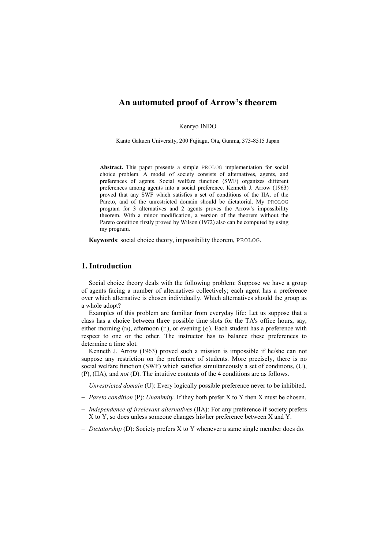Kenryo INDO

Kanto Gakuen University, 200 Fujiagu, Ota, Gunma, 373-8515 Japan

Abstract. This paper presents a simple PROLOG implementation for social choice problem. A model of society consists of alternatives, agents, and preferences of agents. Social welfare function (SWF) organizes different preferences among agents into a social preference. Kenneth J. Arrow (1963) proved that any SWF which satisfies a set of conditions of the IIA, of the Pareto, and of the unrestricted domain should be dictatorial. My PROLOG program for 3 alternatives and 2 agents proves the Arrow's impossibility theorem. With a minor modification, a version of the theorem without the Pareto condition firstly proved by Wilson (1972) also can be computed by using my program.

Keywords: social choice theory, impossibility theorem, PROLOG.

## 1. Introduction

Social choice theory deals with the following problem: Suppose we have a group of agents facing a number of alternatives collectively; each agent has a preference over which alternative is chosen individually. Which alternatives should the group as a whole adopt?

Examples of this problem are familiar from everyday life: Let us suppose that a class has a choice between three possible time slots for the TA's office hours, say, either morning (m), afternoon (n), or evening (e). Each student has a preference with respect to one or the other. The instructor has to balance these preferences to determine a time slot.

Kenneth J. Arrow (1963) proved such a mission is impossible if he/she can not suppose any restriction on the preference of students. More precisely, there is no social welfare function (SWF) which satisfies simultaneously a set of conditions, (U), (P), (IIA), and not (D). The intuitive contents of the 4 conditions are as follows.

- − Unrestricted domain (U): Every logically possible preference never to be inhibited.
- − Pareto condition (P): Unanimity. If they both prefer X to Y then X must be chosen.
- − Independence of irrelevant alternatives (IIA): For any preference if society prefers X to Y, so does unless someone changes his/her preference between X and Y.
- − Dictatorship (D): Society prefers X to Y whenever a same single member does do.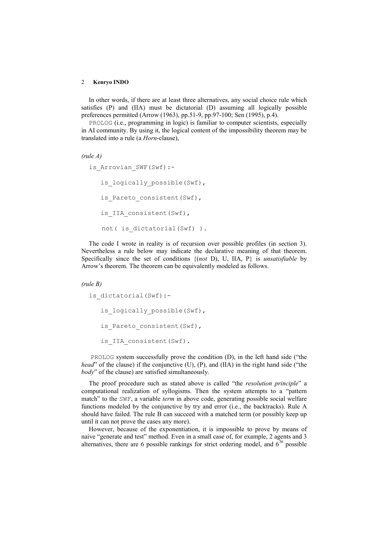In other words, if there are at least three alternatives, any social choice rule which satisfies (P) and (IIA) must be dictatorial (D) assuming all logically possible preferences permitted (Arrow (1963), pp.51-9, pp.97-100; Sen (1995), p.4).

PROLOG (i.e., programming in logic) is familiar to computer scientists, especially in AI community. By using it, the logical content of the impossibility theorem may be translated into a rule (a Horn-clause),

```
(rule A)
```

```
is Arrovian SWF(Swf):-
  is logically possible(Swf),
  is Pareto consistent(Swf),
  is IIA consistent(Swf),
   not( is dictatorial(Swf) ).
```
The code I wrote in reality is of recursion over possible profiles (in section 3). Nevertheless a rule below may indicate the declarative meaning of that theorem. Specifically since the set of conditions  $\{(not D), U, IIA, P\}$  is *unsatisfiable* by Arrow's theorem. The theorem can be equivalently modeled as follows.

#### (rule B)

is dictatorial(Swf):is logically possible(Swf), is Pareto consistent(Swf), is IIA consistent(Swf).

PROLOG system successfully prove the condition (D), in the left hand side ("the *head*" of the clause) if the conjunctive (U), (P), and (IIA) in the right hand side ("the body" of the clause) are satisfied simultaneously.

The proof procedure such as stated above is called "the resolution principle" a computational realization of syllogisms. Then the system attempts to a "pattern match" to the SWF, a variable *term* in above code, generating possible social welfare functions modeled by the conjunctive by try and error (i.e., the backtracks). Rule A should have failed. The rule B can succeed with a matched term (or possibly keep up until it can not prove the cases any more).

However, because of the exponentiation, it is impossible to prove by means of naive "generate and test" method. Even in a small case of, for example, 2 agents and 3 alternatives, there are 6 possible rankings for strict ordering model, and  $6^{36}$  possible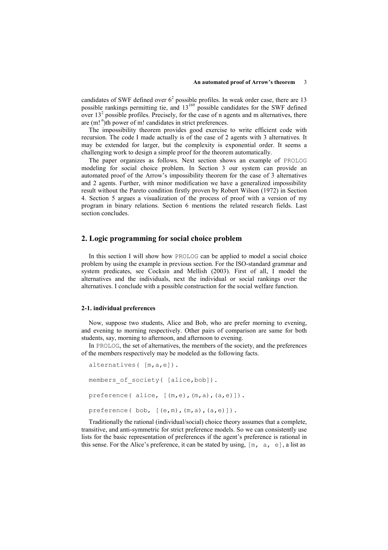candidates of SWF defined over  $6<sup>2</sup>$  possible profiles. In weak order case, there are 13 possible rankings permitting tie, and  $13^{169}$  possible candidates for the SWF defined over  $13<sup>2</sup>$  possible profiles. Precisely, for the case of n agents and m alternatives, there are  $(m!<sup>n</sup>)$ th power of m! candidates in strict preferences.

The impossibility theorem provides good exercise to write efficient code with recursion. The code I made actually is of the case of 2 agents with 3 alternatives. It may be extended for larger, but the complexity is exponential order. It seems a challenging work to design a simple proof for the theorem automatically.

The paper organizes as follows. Next section shows an example of PROLOG modeling for social choice problem. In Section 3 our system can provide an automated proof of the Arrow's impossibility theorem for the case of 3 alternatives and 2 agents. Further, with minor modification we have a generalized impossibility result without the Pareto condition firstly proven by Robert Wilson (1972) in Section 4. Section 5 argues a visualization of the process of proof with a version of my program in binary relations. Section 6 mentions the related research fields. Last section concludes.

## 2. Logic programming for social choice problem

In this section I will show how PROLOG can be applied to model a social choice problem by using the example in previous section. For the ISO-standard grammar and system predicates, see Cocksin and Mellish (2003). First of all, I model the alternatives and the individuals, next the individual or social rankings over the alternatives. I conclude with a possible construction for the social welfare function.

### 2-1. individual preferences

Now, suppose two students, Alice and Bob, who are prefer morning to evening, and evening to morning respectively. Other pairs of comparison are same for both students, say, morning to afternoon, and afternoon to evening.

In PROLOG, the set of alternatives, the members of the society, and the preferences of the members respectively may be modeled as the following facts.

```
alternatives( [m,a,e]). 
members of society( [alice,bob]).
preference( alice, [(m,e),(m,a),(a,e)]).
preference(bob, [ (e,m), (m,a), (a,e)]).
```
Traditionally the rational (individual/social) choice theory assumes that a complete, transitive, and anti-symmetric for strict preference models. So we can consistently use lists for the basic representation of preferences if the agent's preference is rational in this sense. For the Alice's preference, it can be stated by using,  $[m, a, e]$ , a list as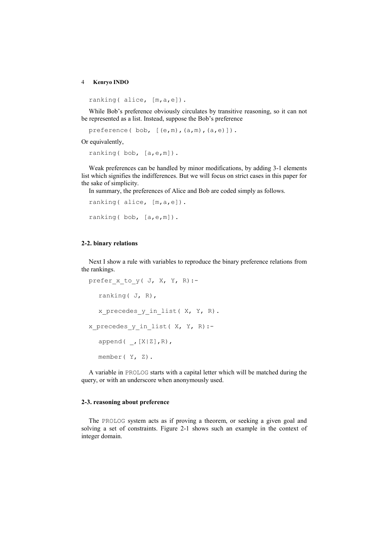ranking( alice, [m, a, e]).

While Bob's preference obviously circulates by transitive reasoning, so it can not be represented as a list. Instead, suppose the Bob's preference

preference(bob, [(e,m),(a,m),(a,e)]).

Or equivalently,

ranking(bob, [a,e,m]).

Weak preferences can be handled by minor modifications, by adding 3-1 elements list which signifies the indifferences. But we will focus on strict cases in this paper for the sake of simplicity.

In summary, the preferences of Alice and Bob are coded simply as follows.

```
ranking( alice, [m,a,e]). 
ranking(bob, [a,e,m]).
```
## 2-2. binary relations

Next I show a rule with variables to reproduce the binary preference relations from the rankings.

```
prefer x to y( J, X, Y, R) :-
  ranking( J, R), 
  x precedes y in list( X, Y, R).
x precedes y in list( X, Y, R) :-
  append( ,[X|Z],R),
  member( Y, Z).
```
A variable in PROLOG starts with a capital letter which will be matched during the query, or with an underscore when anonymously used.

### 2-3. reasoning about preference

The PROLOG system acts as if proving a theorem, or seeking a given goal and solving a set of constraints. Figure 2-1 shows such an example in the context of integer domain.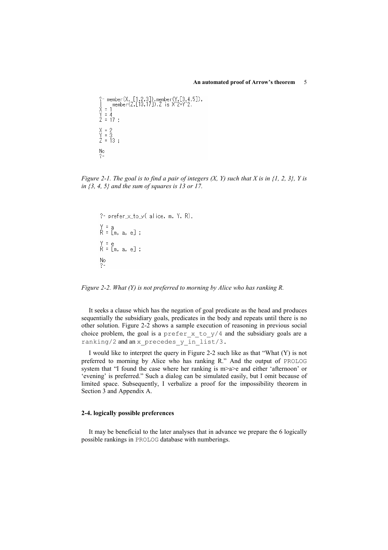```
?- member(X, [1,2,3]), member(Y,[3,4,5]),<br>
] member(Z,[13,17]),Z is X^2+Y^2.<br>
Y = 1<br>
Y = 4<br>
Z = 17;
X = 2<br>Y = 3<br>Z = 13;
\frac{No}{?}
```
Figure 2-1. The goal is to find a pair of integers  $(X, Y)$  such that X is in {1, 2, 3}, Y is in  $\{3, 4, 5\}$  and the sum of squares is 13 or 17.

```
?- prefer \times to \times (alice, m, Y, R).
Y = a<br>R = [m, a, e] ;
Y = e<br>R = [m, a, e] ;
\frac{No}{?}
```
Figure 2-2. What (Y) is not preferred to morning by Alice who has ranking R.

It seeks a clause which has the negation of goal predicate as the head and produces sequentially the subsidiary goals, predicates in the body and repeats until there is no other solution. Figure 2-2 shows a sample execution of reasoning in previous social choice problem, the goal is a prefer\_x\_to\_y/4 and the subsidiary goals are a ranking/2 and an x\_precedes\_y\_in\_list/3.

I would like to interpret the query in Figure 2-2 such like as that "What (Y) is not preferred to morning by Alice who has ranking R." And the output of PROLOG system that "I found the case where her ranking is m>a>e and either 'afternoon' or 'evening' is preferred." Such a dialog can be simulated easily, but I omit because of limited space. Subsequently, I verbalize a proof for the impossibility theorem in Section 3 and Appendix A.

## 2-4. logically possible preferences

It may be beneficial to the later analyses that in advance we prepare the 6 logically possible rankings in PROLOG database with numberings.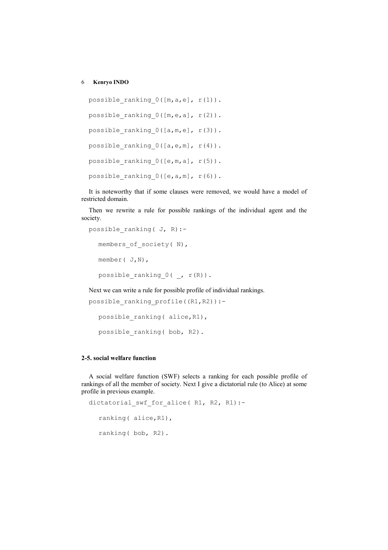```
possible ranking 0([m,a,e], r(1)).
possible ranking 0([m,e,a], r(2)).
possible ranking 0([a,m,e], r(3)).
possible ranking 0([a,e,m], r(4)).
possible ranking 0([e,m,a], r(5)).
possible ranking 0([e,a,m], r(6)).
```
It is noteworthy that if some clauses were removed, we would have a model of restricted domain.

Then we rewrite a rule for possible rankings of the individual agent and the society.

```
possible_ranking( J, R):- 
  members of society( N),
  member( J,N), 
  possible ranking 0(, r(R)).
```
Next we can write a rule for possible profile of individual rankings.

```
possible_ranking_profile((R1,R2)):- 
  possible ranking( alice, R1),
```
possible\_ranking( bob, R2).

# 2-5. social welfare function

A social welfare function (SWF) selects a ranking for each possible profile of rankings of all the member of society. Next I give a dictatorial rule (to Alice) at some profile in previous example.

```
dictatorial swf for alice( R1, R2, R1):-
  ranking( alice,R1), 
  ranking( bob, R2).
```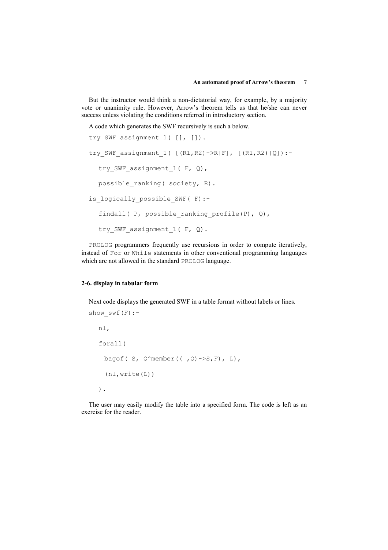But the instructor would think a non-dictatorial way, for example, by a majority vote or unanimity rule. However, Arrow's theorem tells us that he/she can never success unless violating the conditions referred in introductory section.

A code which generates the SWF recursively is such a below.

```
try SWF assignment 1( [], []).
try SWF assignment 1( [(R1,R2)->R|F], [(R1,R2)|Q]):-try SWF assignment 1( F, Q),
  possible ranking( society, R).
is_logically_possible_SWF( F):- 
  findall( P, possible ranking profile(P), Q),
  try SWF assignment 1( F, Q).
```
PROLOG programmers frequently use recursions in order to compute iteratively, instead of For or While statements in other conventional programming languages which are not allowed in the standard PROLOG language.

## 2-6. display in tabular form

Next code displays the generated SWF in a table format without labels or lines.

```
show swf(F):-
   nl, 
   forall( 
    bagof( S, Q^{\wedge}member(( , Q)->S, F), L),
      (nl,write(L)) 
   ).
```
The user may easily modify the table into a specified form. The code is left as an exercise for the reader.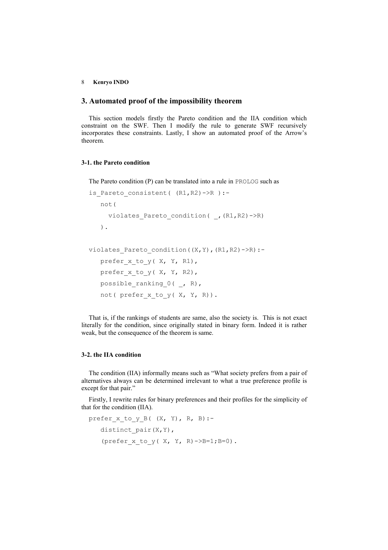## 3. Automated proof of the impossibility theorem

This section models firstly the Pareto condition and the IIA condition which constraint on the SWF. Then I modify the rule to generate SWF recursively incorporates these constraints. Lastly, I show an automated proof of the Arrow's theorem.

## 3-1. the Pareto condition

The Pareto condition (P) can be translated into a rule in PROLOG such as

```
is Pareto consistent( (R1,R2)->R ):-
    not( 
     violates Pareto condition( , (R1,R2)->R)
    ). 
violates Pareto condition((X, Y), (R1,R2)->R):-
   prefer x to y( X, Y, R1),
   prefer x to y( X, Y, R2),
   possible ranking 0(, R),
   not( prefer x to y( X, Y, R)).
```
That is, if the rankings of students are same, also the society is. This is not exact literally for the condition, since originally stated in binary form. Indeed it is rather weak, but the consequence of the theorem is same.

# 3-2. the IIA condition

The condition (IIA) informally means such as "What society prefers from a pair of alternatives always can be determined irrelevant to what a true preference profile is except for that pair."

Firstly, I rewrite rules for binary preferences and their profiles for the simplicity of that for the condition (IIA).

```
prefer x to y B((X, Y), R, B):-
   distinct pair(X, Y),
   (prefer x to y( X, Y, R)->B=1;B=0).
```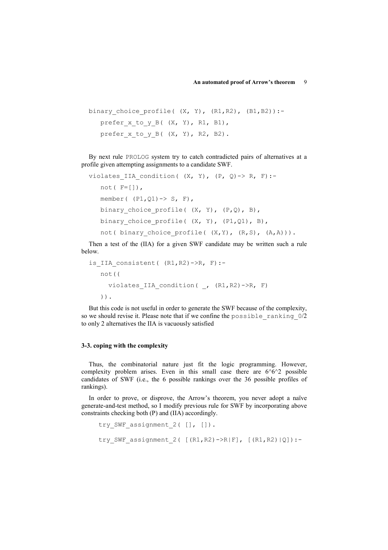```
binary choice profile( (X, Y), (R1, R2), (B1, B2)):-
   prefer x to y B((X, Y), R1, B1),
   prefer x to y B((X, Y), R2, B2).
```
By next rule PROLOG system try to catch contradicted pairs of alternatives at a profile given attempting assignments to a candidate SWF.

```
violates IIA condition( (X, Y), (P, Q) \rightarrow R, F):-
   not(F=[1],member((PI, Q1) \rightarrow S, F),
    binary_choice_profile( (X, Y), (P,Q), B), 
   binary choice profile( (X, Y), (P1,Q1), B),
   not( binary choice profile( (X, Y), (R, S), (A, A))).
```
Then a test of the (IIA) for a given SWF candidate may be written such a rule below.

```
is IIA consistent( (R1,R2)->R, F):-
    not(( 
      violates_IIA_condition( _, (R1,R2)->R, F) 
    )).
```
But this code is not useful in order to generate the SWF because of the complexity, so we should revise it. Please note that if we confine the possible\_ranking\_0/2 to only 2 alternatives the IIA is vacuously satisfied

## 3-3. coping with the complexity

Thus, the combinatorial nature just fit the logic programming. However, complexity problem arises. Even in this small case there are  $6^6$ <sup> $\land$  $2$ </sup> possible candidates of SWF (i.e., the 6 possible rankings over the 36 possible profiles of rankings).

In order to prove, or disprove, the Arrow's theorem, you never adopt a naïve generate-and-test method, so I modify previous rule for SWF by incorporating above constraints checking both (P) and (IIA) accordingly.

```
try SWF assignment 2( [], []).
try SWF assignment 2( [(R1,R2)-\ge R|F], [(R1,R2)|Q]):-
```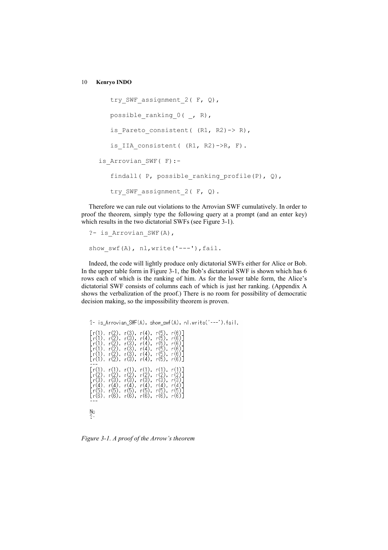```
try SWF assignment 2( F, Q),
   possible_ranking_0( , R),
   is Pareto consistent( (R1, R2) \rightarrow R),
   is IIA consistent( (R1, R2)->R, F).
is Arrovian SWF( F) :-
   findall( P, possible ranking profile(P), Q),
   try SWF assignment 2 (F, Q).
```
Therefore we can rule out violations to the Arrovian SWF cumulatively. In order to proof the theorem, simply type the following query at a prompt (and an enter key) which results in the two dictatorial SWFs (see Figure 3-1).

```
?- is_Arrovian_SWF(A), 
show swf(A), nl,write('---'),fail.
```
Indeed, the code will lightly produce only dictatorial SWFs either for Alice or Bob. In the upper table form in Figure 3-1, the Bob's dictatorial SWF is shown which has 6 rows each of which is the ranking of him. As for the lower table form, the Alice's dictatorial SWF consists of columns each of which is just her ranking. (Appendix A shows the verbalization of the proof.) There is no room for possibility of democratic decision making, so the impossibility theorem is proven.

?- is\_Arrovian\_SWF(A), show\_swf(A), nl,write('---'),fail.  $\begin{matrix} r(4) \\ r(4) \\ r(4) \end{matrix}$  $\begin{matrix} 1 & 0 & 0 \\ 0 & 0 & 0 \\ 0 & 0 & 0 \\ 0 & 0 & 0 \\ 0 & 0 & 0 \\ 0 & 0 & 0 \\ 0 & 0 & 0 \\ 0 & 0 & 0 & 0 \\ 0 & 0 & 0 & 0 \\ 0 & 0 & 0 & 0 \\ 0 & 0 & 0 & 0 \\ 0 & 0 & 0 & 0 \\ 0 & 0 & 0 & 0 & 0 \\ 0 & 0 & 0 & 0 & 0 \\ 0 & 0 & 0 & 0 & 0 \\ 0 & 0 & 0 & 0 & 0 & 0 \\ 0 & 0 & 0 & 0 & 0 & 0 \\ 0 & 0 & 0 & 0$  $\mathsf{r}$ r(3)  $\begin{matrix} 6 \\ 6 \\ 7 \end{matrix}$  $\begin{matrix} r(5) \\ r(6) \end{matrix}$  $r(6)$ ,  $\frac{N}{?}$ 

Figure 3-1. A proof of the Arrow's theorem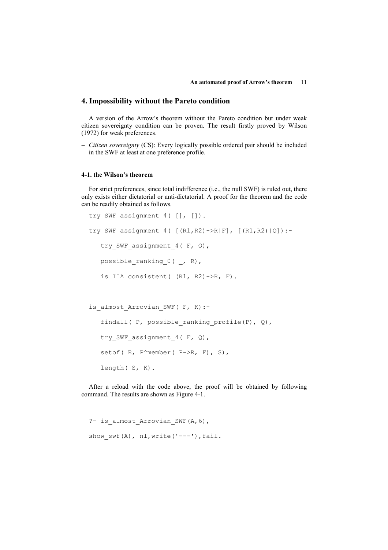## 4. Impossibility without the Pareto condition

A version of the Arrow's theorem without the Pareto condition but under weak citizen sovereignty condition can be proven. The result firstly proved by Wilson (1972) for weak preferences.

− Citizen sovereignty (CS): Every logically possible ordered pair should be included in the SWF at least at one preference profile.

## 4-1. the Wilson's theorem

For strict preferences, since total indifference (i.e., the null SWF) is ruled out, there only exists either dictatorial or anti-dictatorial. A proof for the theorem and the code can be readily obtained as follows.

```
try SWF assignment 4( [], []).
try SWF assignment 4( [(R1,R2)-R|F], [(R1,R2)|Q]):-try SWF assignment 4(F, Q),
  possible ranking 0(, R),
   is IIA consistent( (R1, R2)->R, F).
```

```
is almost Arrovian SWF( F, K):-
   findall( P, possible ranking profile(P), Q),
   try SWF assignment 4( F, Q),
   setof( R, P^member( P->R, F), S),
    length( S, K).
```
After a reload with the code above, the proof will be obtained by following command. The results are shown as Figure 4-1.

```
?- is almost Arrovian SWF(A,6),
show swf(A), nl,write('---'),fail.
```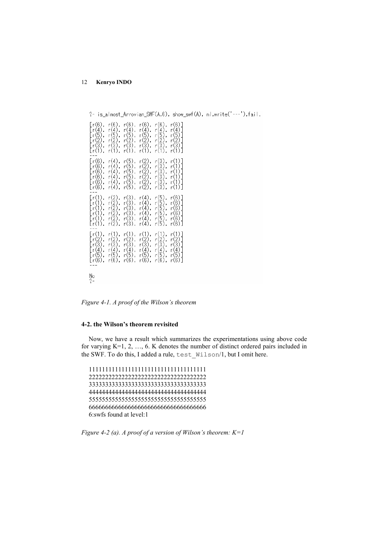?- is\_almost\_Arrovian\_SWF(A,6), show\_swf(A), nl,write('---'),fail.  $r(6)$ r(4),<br>r(5),<br>r(2),<br>r(3), r(4),<br>r(5),<br>r(2),<br>r(3),  $r(4), r(5), r(2), r(3),$ (4), r(4),<br>(5), r(5),<br>(2), r(2),<br>(3), r(3),  $r(5)$ -rič ∙čĭ); −cĭj; `r(ĭ), −cĭ),  $r(4)$  $(5)$  $r(4)$  $r(5$  $r(4)$  $\mathbf{r}$  $\mathbf{r}$  $\begin{matrix} 1 & 0 & 0 \\ 0 & 0 & 0 \\ 0 & 0 & 0 \\ 0 & 0 & 0 \\ 0 & 0 & 0 \\ 0 & 0 & 0 \\ 0 & 0 & 0 \\ 0 & 0 & 0 & 0 \\ 0 & 0 & 0 & 0 \\ 0 & 0 & 0 & 0 \\ 0 & 0 & 0 & 0 \\ 0 & 0 & 0 & 0 \\ 0 & 0 & 0 & 0 & 0 \\ 0 & 0 & 0 & 0 & 0 \\ 0 & 0 & 0 & 0 & 0 \\ 0 & 0 & 0 & 0 & 0 & 0 \\ 0 & 0 & 0 & 0 & 0 & 0 \\ 0 & 0 & 0 & 0$  $r(4)$ ,  $r(\overline{2})$  $r(3)$ ัr(6).  $r(4)$ .  $r(2)$ . r(3)  $r(2)$  $r(4)$ .  $r(5)$  $r(3)$ (4)  $r<sub>1</sub>$  $\mathbf{r}$  $\mathbf{r}$  $\begin{matrix} r(2) \\ r(2) \end{matrix}$  $r(5)$  $r(4)$  $r(3)$  $\frac{1}{r(5)}$ <br> $r(5)$ 4),  $r<sup>1</sup>$  $\mathbf{r}$  $r(2)$ ,  $r(3)$ ,  $r(4)$ ,  $r(1)$  $r(1)$  $\begin{matrix} r(2) \\ r(3) \end{matrix}$  $\begin{matrix} r(2) \\ r(3) \end{matrix}$ G.  $r($  $\begin{matrix} 1 & 3 \\ 6 & 7 \\ 7 & 2 \\ 7 & 2 \end{matrix}$  $\begin{matrix} 1 & 0 \\ 1 & 0 \\ 0 & 0 \end{matrix}$  $\frac{r(4)}{r(5)}$  $r(4)$  $r(5)$ .  $r(6)$ ,  $r(6)$ ,  $r(6)$ ,  $r(6)$  $\lceil r(6) \rceil$  $\frac{No}{?}$ Figure 4-1. A proof of the Wilson's theorem

## 4-2. the Wilson's theorem revisited

Now, we have a result which summarizes the experimentations using above code for varying K=1, 2, …, 6. K denotes the number of distinct ordered pairs included in the SWF. To do this, I added a rule, test\_Wilson/1, but I omit here.

111111111111111111111111111111111111 222222222222222222222222222222222222 333333333333333333333333333333333333 444444444444444444444444444444444444 555555555555555555555555555555555555 666666666666666666666666666666666666 6:swfs found at level:1

Figure 4-2 (a). A proof of a version of Wilson's theorem:  $K=1$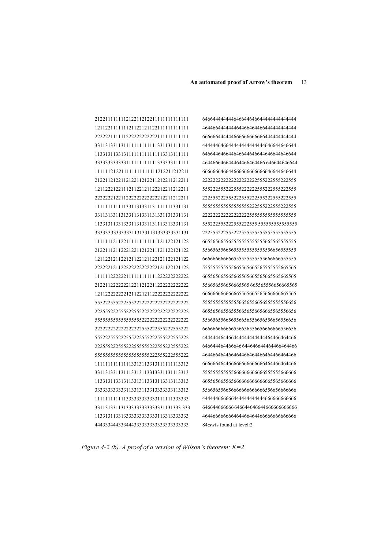Figure 4-2 (b). A proof of a version of Wilson's theorem:  $K=2$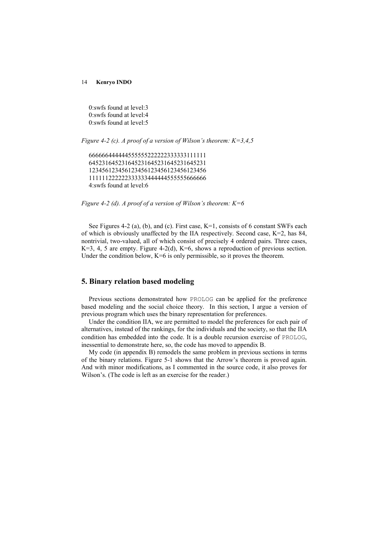0:swfs found at level:3 0:swfs found at level:4 0:swfs found at level:5

Figure 4-2 (c). A proof of a version of Wilson's theorem:  $K=3,4,5$ 

666666444444555555222222333333111111 645231645231645231645231645231645231 123456123456123456123456123456123456 111111222222333333444444555555666666 4:swfs found at level:6

Figure 4-2 (d). A proof of a version of Wilson's theorem:  $K=6$ 

See Figures 4-2 (a), (b), and (c). First case, K=1, consists of 6 constant SWFs each of which is obviously unaffected by the IIA respectively. Second case,  $K=2$ , has 84, nontrivial, two-valued, all of which consist of precisely 4 ordered pairs. Three cases,  $K=3$ , 4, 5 are empty. Figure 4-2(d),  $K=6$ , shows a reproduction of previous section. Under the condition below,  $K=6$  is only permissible, so it proves the theorem.

# 5. Binary relation based modeling

Previous sections demonstrated how PROLOG can be applied for the preference based modeling and the social choice theory. In this section, I argue a version of previous program which uses the binary representation for preferences.

Under the condition IIA, we are permitted to model the preferences for each pair of alternatives, instead of the rankings, for the individuals and the society, so that the IIA condition has embedded into the code. It is a double recursion exercise of PROLOG, inessential to demonstrate here, so, the code has moved to appendix B.

My code (in appendix B) remodels the same problem in previous sections in terms of the binary relations. Figure 5-1 shows that the Arrow's theorem is proved again. And with minor modifications, as I commented in the source code, it also proves for Wilson's. (The code is left as an exercise for the reader.)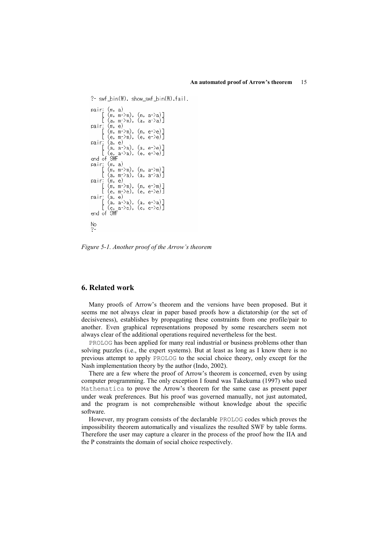```
?- swf_bin(W), show_swf_bin(W),fail.
pair: (m, a)<br>
[ (m, m->m), (m, a->a)]<br>
[ (a, m->m), (a, a->a)]<br>
pair: (m, e)<br>
[ (m, m->m), (m, e->e)]<br>
[ (m, m->m), (e, e->e)]<br>
pair: (a, e)<br>
[ (a, a->a), (a, e->e)]<br>
[ (e, a->a), (e, e->e)]<br>
end of SMF<br>
pair: (m, a)
  pair: (m, a)
  pair: (m, a)<br>[ (m, m->m), (m, a->m)]<br>[ (a, m->a), (a, a->a)]
  pair: (m, e)<br>
[ (m, m->m), (m, e->m)]<br>
[ (e, m->e), (e, e->e)]
  pair: (a, e)<br>
[ (a, a->a), (a, e->a)]<br>
[ (e, a->e), (e, e->e)]<br>
end of SMF
  \frac{No}{?}
```
Figure 5-1. Another proof of the Arrow's theorem

## 6. Related work

Many proofs of Arrow's theorem and the versions have been proposed. But it seems me not always clear in paper based proofs how a dictatorship (or the set of decisiveness), establishes by propagating these constraints from one profile/pair to another. Even graphical representations proposed by some researchers seem not always clear of the additional operations required nevertheless for the best.

PROLOG has been applied for many real industrial or business problems other than solving puzzles (i.e., the expert systems). But at least as long as I know there is no previous attempt to apply PROLOG to the social choice theory, only except for the Nash implementation theory by the author (Indo, 2002).

There are a few where the proof of Arrow's theorem is concerned, even by using computer programming. The only exception I found was Takekuma (1997) who used Mathematica to prove the Arrow's theorem for the same case as present paper under weak preferences. But his proof was governed manually, not just automated, and the program is not comprehensible without knowledge about the specific software.

However, my program consists of the declarable PROLOG codes which proves the impossibility theorem automatically and visualizes the resulted SWF by table forms. Therefore the user may capture a clearer in the process of the proof how the IIA and the P constraints the domain of social choice respectively.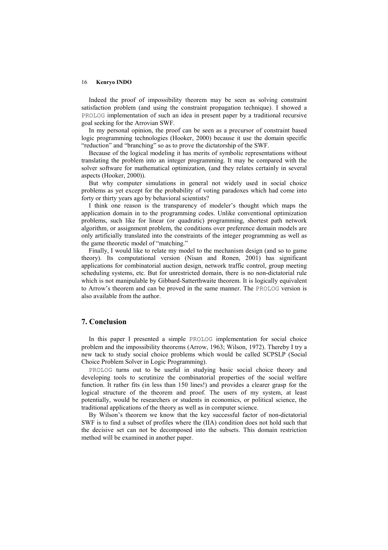Indeed the proof of impossibility theorem may be seen as solving constraint satisfaction problem (and using the constraint propagation technique). I showed a PROLOG implementation of such an idea in present paper by a traditional recursive goal seeking for the Arrovian SWF.

In my personal opinion, the proof can be seen as a precursor of constraint based logic programming technologies (Hooker, 2000) because it use the domain specific "reduction" and "branching" so as to prove the dictatorship of the SWF.

Because of the logical modeling it has merits of symbolic representations without translating the problem into an integer programming. It may be compared with the solver software for mathematical optimization, (and they relates certainly in several aspects (Hooker, 2000)).

But why computer simulations in general not widely used in social choice problems as yet except for the probability of voting paradoxes which had come into forty or thirty years ago by behavioral scientists?

I think one reason is the transparency of modeler's thought which maps the application domain in to the programming codes. Unlike conventional optimization problems, such like for linear (or quadratic) programming, shortest path network algorithm, or assignment problem, the conditions over preference domain models are only artificially translated into the constraints of the integer programming as well as the game theoretic model of "matching."

Finally, I would like to relate my model to the mechanism design (and so to game theory). Its computational version (Nisan and Ronen, 2001) has significant applications for combinatorial auction design, network traffic control, group meeting scheduling systems, etc. But for unrestricted domain, there is no non-dictatorial rule which is not manipulable by Gibbard-Satterthwaite theorem. It is logically equivalent to Arrow's theorem and can be proved in the same manner. The PROLOG version is also available from the author.

# 7. Conclusion

In this paper I presented a simple PROLOG implementation for social choice problem and the impossibility theorems (Arrow, 1963; Wilson, 1972). Thereby I try a new tack to study social choice problems which would be called SCPSLP (Social Choice Problem Solver in Logic Programming).

PROLOG turns out to be useful in studying basic social choice theory and developing tools to scrutinize the combinatorial properties of the social welfare function. It rather fits (in less than 150 lines!) and provides a clearer grasp for the logical structure of the theorem and proof. The users of my system, at least potentially, would be researchers or students in economics, or political science, the traditional applications of the theory as well as in computer science.

By Wilson's theorem we know that the key successful factor of non-dictatorial SWF is to find a subset of profiles where the (IIA) condition does not hold such that the decisive set can not be decomposed into the subsets. This domain restriction method will be examined in another paper.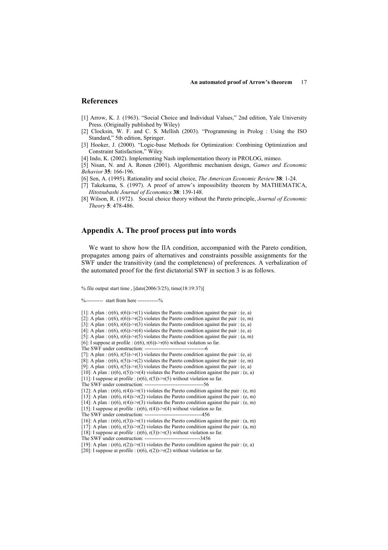## References

- [1] Arrow, K. J. (1963). "Social Choice and Individual Values," 2nd edition, Yale University Press. (Originally published by Wiley)
- [2] Clocksin, W. F. and C. S. Mellish (2003). "Programming in Prolog : Using the ISO Standard," 5th edition, Springer.
- [3] Hooker, J. (2000). "Logic-base Methods for Optimization: Combining Optimization and Constraint Satisfaction," Wiley.
- [4] Indo, K. (2002). Implementing Nash implementation theory in PROLOG, mimeo.
- [5] Nisan, N. and A. Ronen (2001). Algorithmic mechanism design, Games and Economic Behavior 35: 166-196.
- [6] Sen, A. (1995). Rationality and social choice, The American Economic Review 38: 1-24.
- [7] Takekuma, S. (1997). A proof of arrow's impossibility theorem by MATHEMATICA, Hitotsubashi Journal of Economics 38: 139-148.
- [8] Wilson, R. (1972). Social choice theory without the Pareto principle, *Journal of Economic* Theory 5: 478-486.

# Appendix A. The proof process put into words

We want to show how the IIA condition, accompanied with the Pareto condition, propagates among pairs of alternatives and constraints possible assignments for the SWF under the transitivity (and the completeness) of preferences. A verbalization of the automated proof for the first dictatorial SWF in section 3 is as follows.

% file output start time , [date(2006/3/25), time(18:19:37)]

%---------- start from here -----------%

<sup>[1]:</sup> A plan :  $(r(6), r(6))$ ->r(1) violates the Pareto condition against the pair : (e, a) [2]: A plan :  $(r(6), r(6))$ -> $r(2)$  violates the Pareto condition against the pair : (e, m) [3]: A plan :  $(r(6), r(6))$ -> $r(3)$  violates the Pareto condition against the pair : (e, a) [4]: A plan :  $(r(6), r(6))$ ->r(4) violates the Pareto condition against the pair :  $(e, a)$ [5]: A plan :  $(r(6), r(6))$ -> $r(5)$  violates the Pareto condition against the pair : (a, m) [6]: I suppose at profile :  $(r(6), r(6))$ -> $r(6)$  without violation so far. The SWF under construction: -----------------------------------6 [7]: A plan :  $(r(6), r(5))$ -> $r(1)$  violates the Pareto condition against the pair : (e, a) [8]: A plan :  $(r(6), r(5))$ -> $r(2)$  violates the Pareto condition against the pair : (e, m) [9]: A plan :  $(r(6), r(5))$ -> $r(3)$  violates the Pareto condition against the pair : (e, a) [10]: A plan :  $(r(6), r(5))$ ->r(4) violates the Pareto condition against the pair : (e, a) [11]: I suppose at profile :  $(r(6), r(5)) \ge r(5)$  without violation so far. The SWF under construction: ----------------------------------56 [12]: A plan :  $(r(6), r(4))$ ->r(1) violates the Pareto condition against the pair : (e, m) [13]: A plan :  $(r(6), r(4))$ -> $r(2)$  violates the Pareto condition against the pair : (e, m) [14]: A plan :  $(r(6), r(4))$ ->r(3) violates the Pareto condition against the pair : (e, m) [15]: I suppose at profile : (r(6), r(4))->r(4) without violation so far. The SWF under construction: ---[16]: A plan :  $(r(6), r(3))$ -> $r(1)$  violates the Pareto condition against the pair : (a, m) [17]: A plan :  $(r(6), r(3))$ ->r(2) violates the Pareto condition against the pair : (a, m)

<sup>[18]:</sup> I suppose at profile : (r(6), r(3))->r(3) without violation so far. The SWF under construction: ----

<sup>[19]:</sup> A plan :  $(r(6), r(2))$  >r(1) violates the Pareto condition against the pair : (e, a)

<sup>[20]:</sup> I suppose at profile :  $(r(6), r(2))$ ->r(2) without violation so far.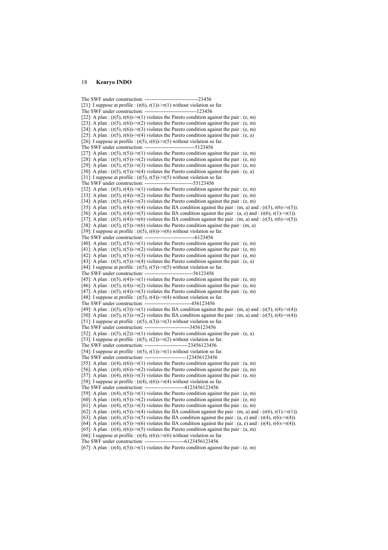```
The SWF under construction: -------------------------------23456 
[21]: I suppose at profile : (r(6), r(1))->r(1) without violation so far.
The SWF under construction: ------------------------------123456 
[22]: A plan : (r(5), r(6)) >r(1) violates the Pareto condition against the pair : (e, m)
[23]: A plan : (r(5), r(6)) \ge r(2) violates the Pareto condition against the pair : (e, m)
[24]: A plan : (r(5), r(6))->r(3) violates the Pareto condition against the pair : (e, m)
[25]: A plan : (r(5), r(6))->r(4) violates the Pareto condition against the pair : (e, a)
[26]: I suppose at profile : (r(5), r(6))->r(5) without violation so far.
The SWF under construction: -----------------------------5123456 
[27]: A plan : (r(5), r(5))->r(1) violates the Pareto condition against the pair : (e, m)
[28]: A plan : (r(5), r(5))->r(2) violates the Pareto condition against the pair : (e, m)
[29]: A plan : (r(5), r(5))->r(3) violates the Pareto condition against the pair : (e, m)
[30]: A plan : (r(5), r(5))->r(4) violates the Pareto condition against the pair : (e, a)
[31]: I suppose at profile : (r(5), r(5))->r(5) without violation so far.
The SWF under construction: ----------------------------55123456 
[32]: A plan : (r(5), r(4)) >r(1) violates the Pareto condition against the pair : (e, m)
[33]: A plan : (r(5), r(4))->r(2) violates the Pareto condition against the pair : (e, m)
[34]: A plan : (r(5), r(4))->r(3) violates the Pareto condition against the pair : (e, m)
[35]: A plan : (r(5), r(4))->r(4) violates the IIA condition against the pair : (m, a) and : (r(5), r(6)->r(5)).
[36]: A plan : (r(5), r(4)) > r(5) violates the IIA condition against the pair : (a, e) and : (r(6), r(1) > r(1)).
[37]: A plan : (r(5), r(4))->r(6) violates the IIA condition against the pair : (m, a) and : (r(5), r(6)->r(5).
[38]: A plan : (r(5), r(5)) >r(6) violates the Pareto condition against the pair : (m, a)
[39]: I suppose at profile : (r(5), r(6))->r(6) without violation so far.
The SWF under construction: -----------------------------6123456 
[40]: A plan : (r(5), r(5))->r(1) violates the Pareto condition against the pair : (e, m)
[41]: A plan : (r(5), r(5))->r(2) violates the Pareto condition against the pair : (e, m)
[42]: A plan : (r(5), r(5))->r(3) violates the Pareto condition against the pair : (e, m)
[43]: A plan : (r(5), r(5))->r(4) violates the Pareto condition against the pair : (e, a)
[44]: I suppose at profile : (r(5), r(5))->r(5) without violation so far.
The SWF under construction: ----------------------------56123456 
[45]: A plan : (r(5), r(4)) >r(1) violates the Pareto condition against the pair : (e, m)
[46]: A plan : (r(5), r(4))->r(2) violates the Pareto condition against the pair : (e, m)
[47]: A plan : (r(5), r(4)) >r(3) violates the Pareto condition against the pair : (e, m)
[48]: I suppose at profile : (r(5), r(4))->r(4) without violation so far.
The SWF under construction: ---------------------------456123456 
[49]: A plan : (r(5), r(3))->r(1) violates the IIA condition against the pair : (m, a) and : (r(5), r(4)->r(4)).
[50]: A plan : (r(5), r(3))->r(2) violates the IIA condition against the pair : (m, a) and : (r(5), r(4)->r(4)).
[51]: I suppose at profile : (r(5), r(3)) \rightarrow r(3) without violation so far.
The SWF under construction: --------------------------3456123456 
[52]: A plan : (r(5), r(2)) \ge r(1) violates the Pareto condition against the pair : (e, a)
[53]: I suppose at profile : (r(5), r(2))->r(2) without violation so far.
The SWF under construction: -------------------------23456123456 
[54]: I suppose at profile : (r(5), r(1))->r(1) without violation so far.
The SWF under construction: ------------------------123456123456 
[55]: A plan : (r(4), r(6))->r(1) violates the Pareto condition against the pair : (a, m)
[56]: A plan : (r(4), r(6))->r(2) violates the Pareto condition against the pair : (a, m)[57]: A plan : (r(4), r(6))->r(3) violates the Pareto condition against the pair : (e, m)
[58]: I suppose at profile : (r(4), r(6))->r(4) without violation so far.
The SWF under construction: -----------------------4123456123456 
[59]: A plan : (r(4), r(5))->r(1) violates the Pareto condition against the pair : (e, m)
[60]: A plan : (r(4), r(5))->r(2) violates the Pareto condition against the pair : (e, m)
[61]: A plan : (r(4), r(5)) \rightarrow r(3) violates the Pareto condition against the pair : (e, m)
[62]: A plan : (r(4), r(5))->r(4) violates the IIA condition against the pair : (m, a) and : (r(6), r(1)-r(1)).
[63]: A plan : (r(4), r(5))->r(5) violates the IIA condition against the pair : (a, e) and : (r(4), r(6)->r(4)).
[64]: A plan : (r(4), r(5))->r(6) violates the IIA condition against the pair : (a, e) and : (r(4), r(6)-r(4)).
[65]: A plan : (r(4), r(6)) >r(5) violates the Pareto condition against the pair : (a, m)
```
[66]: I suppose at profile : (r(4), r(6))->r(6) without violation so far. The SWF under construction: -----

[67]: A plan :  $(r(4), r(5))$ ->r(1) violates the Pareto condition against the pair : (e, m)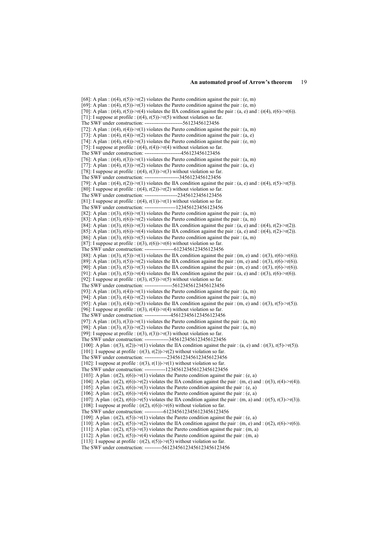[68]: A plan :  $(r(4), r(5))$ -> $r(2)$  violates the Pareto condition against the pair : (e, m) [69]: A plan :  $(r(4), r(5)) > r(3)$  violates the Pareto condition against the pair : (e, m) [70]: A plan :  $(r(4), r(5))$ ->r(4) violates the IIA condition against the pair : (a, e) and : (r(4), r(6)->r(6)). [71]: I suppose at profile :  $(r(4), r(5))$ ->r(5) without violation so far. The SWF under construction: ----------------------56123456123456 [72]: A plan :  $(r(4), r(4))$ ->r(1) violates the Pareto condition against the pair : (a, m) [73]: A plan :  $(r(4), r(4))$ -> $r(2)$  violates the Pareto condition against the pair : (a, e) [74]: A plan :  $(r(4), r(4))$ -> $r(3)$  violates the Pareto condition against the pair : (e, m) [75]: I suppose at profile :  $(r(4), r(4))$ ->r(4) without violation so far. The SWF under construction: ---------------------456123456123456 [76]: A plan :  $(r(4), r(3))$ -> $r(1)$  violates the Pareto condition against the pair :  $(a, m)$ [77]: A plan :  $(r(4), r(3))$ ->r(2) violates the Pareto condition against the pair : (a, e) [78]: I suppose at profile :  $(r(4), r(3))$ ->r(3) without violation so far. The SWF under construction: --------------------3456123456123456 [79]: A plan :  $(r(4), r(2))$ ->r(1) violates the IIA condition against the pair : (a, e) and :  $(r(4), r(5)$ ->r(5)). [80]: I suppose at profile :  $(r(4), r(2))$ ->r(2) without violation so far. The SWF under construction: -------------------23456123456123456 [81]: I suppose at profile :  $(r(4), r(1))$ ->r(1) without violation so far. The SWF under construction: ------------------123456123456123456 [82]: A plan :  $(r(3), r(6))$ ->r(1) violates the Pareto condition against the pair : (a, m) [83]: A plan :  $(r(3), r(6))$  >r(2) violates the Pareto condition against the pair : (a, m) [84]: A plan :  $(r(3), r(6))$ -> $r(3)$  violates the IIA condition against the pair : (a, e) and : (r(4), r(2)-> $r(2)$ ). [85]: A plan :  $(r(3), r(6))$ ->r(4) violates the IIA condition against the pair : (a, e) and :  $(r(4), r(2)$ ->r(2)). [86]: A plan :  $(r(3), r(6))$ -> $r(5)$  violates the Pareto condition against the pair : (a, m) [87]: I suppose at profile :  $(r(3), r(6))$ -> $r(6)$  without violation so far. The SWF under construction: -----------------6123456123456123456 [88]: A plan :  $(r(3), r(5))$ ->r(1) violates the IIA condition against the pair :  $(m, e)$  and :  $(r(3), r(6)$ ->r(6)). [89]: A plan :  $(r(3), r(5))$ ->r(2) violates the IIA condition against the pair : (m, e) and :  $(r(3), r(6)$ ->r(6)). [90]: A plan :  $(r(3), r(5))$ ->r(3) violates the IIA condition against the pair : (m, e) and :  $(r(3), r(6)$ ->r(6)). [91]: A plan :  $(r(3), r(5)) \ge r(4)$  violates the IIA condition against the pair : (a, e) and :  $(r(3), r(6) \ge r(6))$ . [92]: I suppose at profile :  $(r(3), r(5))$ - $r(5)$  without violation so far. The SWF under construction: ----------------56123456123456123456 [93]: A plan :  $(r(3), r(4))$ ->r(1) violates the Pareto condition against the pair : (a, m) [94]: A plan :  $(r(3), r(4))$ -> $r(2)$  violates the Pareto condition against the pair :  $(a, m)$ [95]: A plan :  $(r(3), r(4))$ ->r(3) violates the IIA condition against the pair : (m, e) and :  $(r(3), r(5)$ ->r(5)). [96]: I suppose at profile :  $(r(3), r(4))$ ->r(4) without violation so far. The SWF under construction: ---------------456123456123456123456 [97]: A plan :  $(r(3), r(3))$ -> $r(1)$  violates the Pareto condition against the pair : (a, m) [98]: A plan :  $(r(3), r(3))$ -> $r(2)$  violates the Pareto condition against the pair :  $(a, m)$ [99]: I suppose at profile :  $(r(3), r(3))$ ->r(3) without violation so far. The SWF under construction: --------------3456123456123456123456 [100]: A plan :  $(r(3), r(2))$ ->r(1) violates the IIA condition against the pair : (a, e) and :  $(r(3), r(5)$ ->r(5)). [101]: I suppose at profile :  $(r(3), r(2))$ ->r(2) without violation so far. The SWF under construction: -------------23456123456123456123456 [102]: I suppose at profile :  $(r(3), r(1))$ ->r(1) without violation so far. The SWF under construction: ------------123456123456123456123456 [103]: A plan :  $(r(2), r(6))$  >r(1) violates the Pareto condition against the pair : (e, a) [104]: A plan :  $(r(2), r(6))$ ->r(2) violates the IIA condition against the pair : (m, e) and : (r(3), r(4)->r(4)). [105]: A plan :  $(r(2), r(6))$ -> $r(3)$  violates the Pareto condition against the pair : (e, a) [106]: A plan :  $(r(2), r(6))$ ->r(4) violates the Pareto condition against the pair :  $(e, a)$ [107]: A plan :  $(r(2), r(6))$ ->r(5) violates the IIA condition against the pair : (m, a) and :  $(r(5), r(3)$ ->r(3)). [108]: I suppose at profile :  $(r(2), r(6))$ ->r(6) without violation so far. The SWF under construction: -----------6123456123456123456123456 [109]: A plan :  $(r(2), r(5))$ -> $r(1)$  violates the Pareto condition against the pair : (e, a) [110]: A plan :  $(r(2), r(5)) \rightarrow r(2)$  violates the IIA condition against the pair : (m, e) and : (r(2), r(6)->r(6)).  $[111]$ : A plan :  $(r(2))$ ,  $r(5)$ )-> $r(3)$  violates the Pareto condition against the pair : (m, a) [112]: A plan :  $(r(2), r(5))$ -> $r(4)$  violates the Pareto condition against the pair :  $(m, a)$ 

[113]: I suppose at profile :  $(r(2), r(5))$ -> $r(5)$  without violation so far.

The SWF under construction: ----------56123456123456123456123456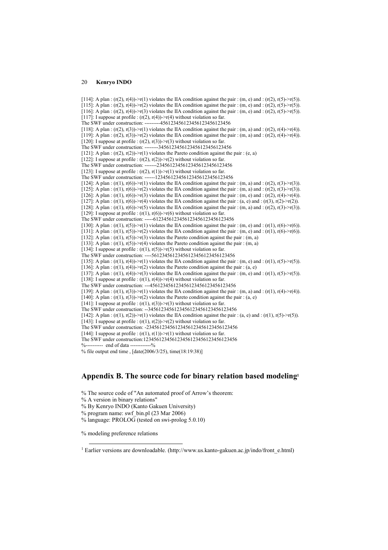[114]: A plan :  $(r(2), r(4))$ ->r(1) violates the IIA condition against the pair :  $(m, e)$  and :  $(r(2), r(5)$ ->r(5)). [115]: A plan :  $(r(2), r(4))$ -> $r(2)$  violates the IIA condition against the pair : (m, e) and :  $(r(2), r(5)$ -> $r(5)$ . [116]: A plan :  $(r(2), r(4))$ ->r(3) violates the IIA condition against the pair :  $(m, e)$  and :  $(r(2), r(5)$ ->r(5). [117]: I suppose at profile :  $(r(2), r(4))$ ->r(4) without violation so far. The SWF under construction: ---------456123456123456123456123456 [118]: A plan :  $(r(2), r(3)) \rightarrow r(1)$  violates the IIA condition against the pair :  $(m, a)$  and :  $(r(2), r(4) \rightarrow r(4))$ . [119]: A plan :  $(r(2), r(3))$ ->r(2) violates the IIA condition against the pair : (m, a) and :  $(r(2), r(4)-r(4))$ . [120]: I suppose at profile :  $(r(2), r(3))$ ->r(3) without violation so far. The SWF under construction: --------3456123456123456123456123456 [121]: A plan :  $(r(2), r(2))$ -> $r(1)$  violates the Pareto condition against the pair :  $(e, a)$ [122]: I suppose at profile :  $(r(2), r(2))$ ->r(2) without violation so far. The SWF under construction: -------23456123456123456123456123456 [123]: I suppose at profile :  $(r(2), r(1))$ -> $r(1)$  without violation so far. The SWF under construction: ------123456123456123456123456123456 [124]: A plan :  $(r(1), r(6))$ ->r(1) violates the IIA condition against the pair : (m, a) and :  $(r(2), r(3)-r(3))$ . [125]: A plan :  $(r(1), r(6))$ ->r(2) violates the IIA condition against the pair : (m, a) and :  $(r(2), r(3)$ ->r(3)). [126]: A plan :  $(r(1), r(6))$ ->r(3) violates the IIA condition against the pair :  $(m, e)$  and :  $(r(2), r(4)$ ->r(4). [127]: A plan :  $(r(1), r(6))$ ->r(4) violates the IIA condition against the pair : (a, e) and :  $(r(3), r(2)$ ->r(2)). [128]: A plan :  $(r(1), r(6)) > r(5)$  violates the IIA condition against the pair : (m, a) and :  $(r(2), r(3) > r(3))$ . [129]: I suppose at profile :  $(r(1), r(6))$ -> $r(6)$  without violation so far. The SWF under construction: -----6123456123456123456123456123456 [130]: A plan :  $(r(1), r(5))$ -> $r(1)$  violates the IIA condition against the pair : (m, e) and :  $(r(1), r(6)$ -> $r(6)$ ). [131]: A plan :  $(r(1), r(5))$ ->r(2) violates the IIA condition against the pair : (m, e) and :  $(r(1), r(6)$ ->r(6)). [132]: A plan :  $(r(1), r(5))$ ->r(3) violates the Pareto condition against the pair :  $(m, a)$ [133]: A plan :  $(r(1), r(5))$ -> $r(4)$  violates the Pareto condition against the pair :  $(m, a)$ [134]: I suppose at profile :  $(r(1), r(5))$ -> $r(5)$  without violation so far. The SWF under construction: ----56123456123456123456123456123456 [135]: A plan :  $(r(1), r(4))$ ->r(1) violates the IIA condition against the pair :  $(m, e)$  and :  $(r(1), r(5)$ ->r(5)). [136]: A plan :  $(r(1), r(4))$ -> $r(2)$  violates the Pareto condition against the pair :  $(a, e)$ [137]: A plan :  $(r(1), r(4))$ ->r(3) violates the IIA condition against the pair : (m, e) and :  $(r(1), r(5)$ ->r(5)). [138]: I suppose at profile :  $(r(1), r(4))$ ->r(4) without violation so far. The SWF under construction: ---456123456123456123456123456123456 [139]: A plan :  $(r(1), r(3))$ ->r(1) violates the IIA condition against the pair :  $(m, a)$  and :  $(r(1), r(4)$ ->r(4)). [140]: A plan :  $(r(1), r(3))$ -> $r(2)$  violates the Pareto condition against the pair :  $(a, e)$ [141]: I suppose at profile :  $(r(1), r(3))$ -> $r(3)$  without violation so far. The SWF under construction: --3456123456123456123456123456123456 [142]: A plan :  $(r(1), r(2))$ -> $r(1)$  violates the IIA condition against the pair : (a, e) and :  $(r(1), r(5)$ - $r(5)$ ). [143]: I suppose at profile :  $(r(1), r(2))$ - $r(2)$  without violation so far. The SWF under construction: -23456123456123456123456123456123456 [144]: I suppose at profile :  $(r(1), r(1)) \ge r(1)$  without violation so far. The SWF under construction:123456123456123456123456123456123456 %----------- end of data -----------%

% file output end time , [date(2006/3/25), time(18:19:38)]

# Appendix B. The source code for binary relation based modeling<sup>1</sup>

% The source code of "An automated proof of Arrow's theorem:

% A version in binary relations"

% language: PROLOG (tested on swi-prolog 5.0.10)

% modeling preference relations

 $\overline{a}$ 

<sup>%</sup> By Kenryo INDO (Kanto Gakuen University)

<sup>%</sup> program name: swf\_bin.pl (23 Mar 2006)

<sup>&</sup>lt;sup>1</sup> Earlier versions are downloadable. (http://www.us.kanto-gakuen.ac.jp/indo/front\_e.html)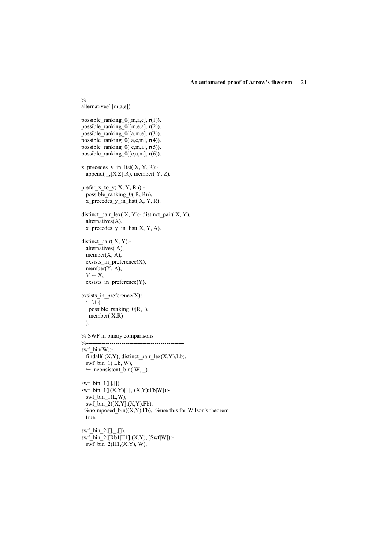%------------------------------------------------- alternatives( [m,a,e]). possible\_ranking\_0([m,a,e], r(1)). possible\_ranking\_0( $[m,e,a]$ ,  $r(2)$ ). possible\_ranking\_0([a,m,e],  $r(3)$ ). possible\_ranking\_0( $[a,e,m]$ ,  $r(4)$ ).  $_{\text{possible}}$  ranking\_0([e,m,a], r(5)). possible\_ranking\_0( $[e,a,m]$ , r(6)).  $x$  precedes  $y$  in list(  $X, Y, R$ ):append $(\_, [X|Z], R)$ , member( Y, Z). prefer\_x\_to\_y( X, Y, Rn): possible\_ranking\_0( R, Rn), x\_precedes\_y\_in\_list( X, Y, R). distinct\_pair\_lex( X, Y):- distinct\_pair( X, Y), alternatives(A), x\_precedes\_y\_in\_list( X, Y, A). distinct pair $(X, Y)$ : alternatives( A), member $(X, A)$ , exsists in preference $(X)$ ,  $m\rightarrow (Y, A),$  $Y \models X$ , exsists in preference(Y). exsists in\_preference $(X)$ :- $\| + \| + ($  possible\_ranking\_0(R,\_), member( X,R) ). % SWF in binary comparisons %------------------------------------------------- swf  $bin(W)$ : findall( (X,Y), distinct\_pair\_lex(X,Y),Lb), swf bin  $1($  Lb, W),  $\arrow$  inconsistent bin( W, ).  $swf\_bin_1([], [])$ .  $swf_bin_1([(X,Y)]L],[(X,Y):Fb|W])$ :swf bin  $1(L,W)$ ,  $swf\_bin_2([X,Y], (X,Y), Fb)$ , %noimposed\_bin( $(X, Y)$ ,Fb), %use this for Wilson's theorem true. swf bin  $2([], [])$ .  $swf_b$  bin\_2([Rb1|H1],(X,Y), [Swf|W]):swf\_bin\_2(H1,(X,Y), W),